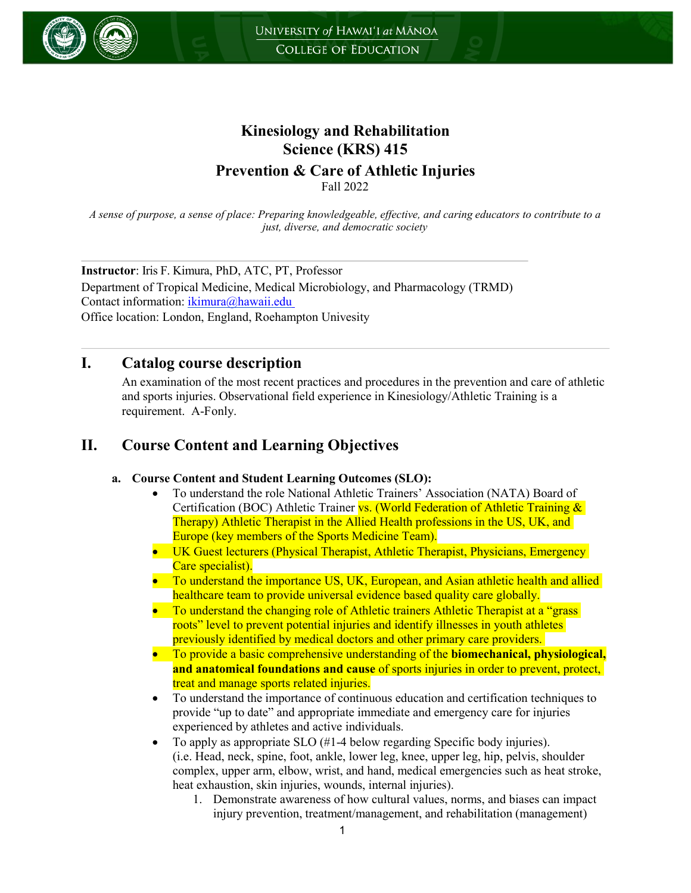

# **Kinesiology and Rehabilitation Science (KRS) 415**

**Prevention & Care of Athletic Injuries**

Fall 2022

*A sense of purpose, a sense of place: Preparing knowledgeable, effective, and caring educators to contribute to a just, diverse, and democratic society*

**Instructor**: Iris F. Kimura, PhD, ATC, PT, Professor Department of Tropical Medicine, Medical Microbiology, and Pharmacology (TRMD) Contact information: [ikimura@hawaii.edu](mailto:ikimura@hawaii.edu) Office location: London, England, Roehampton Univesity

### **I. Catalog course description**

An examination of the most recent practices and procedures in the prevention and care of athletic and sports injuries. Observational field experience in Kinesiology/Athletic Training is a requirement. A-Fonly.

# **II. Course Content and Learning Objectives**

### **a. Course Content and Student Learning Outcomes (SLO):**

- To understand the role National Athletic Trainers' Association (NATA) Board of Certification (BOC) Athletic Trainer vs. (World Federation of Athletic Training & Therapy) Athletic Therapist in the Allied Health professions in the US, UK, and Europe (key members of the Sports Medicine Team).
- UK Guest lecturers (Physical Therapist, Athletic Therapist, Physicians, Emergency Care specialist).
- To understand the importance US, UK, European, and Asian athletic health and allied healthcare team to provide universal evidence based quality care globally.
- To understand the changing role of Athletic trainers Athletic Therapist at a "grass" roots" level to prevent potential injuries and identify illnesses in youth athletes previously identified by medical doctors and other primary care providers.
- To provide a basic comprehensive understanding of the **biomechanical, physiological, and anatomical foundations and cause** of sports injuries in order to prevent, protect, treat and manage sports related injuries.
- To understand the importance of continuous education and certification techniques to provide "up to date" and appropriate immediate and emergency care for injuries experienced by athletes and active individuals.
- To apply as appropriate SLO (#1-4 below regarding Specific body injuries). (i.e. Head, neck, spine, foot, ankle, lower leg, knee, upper leg, hip, pelvis, shoulder complex, upper arm, elbow, wrist, and hand, medical emergencies such as heat stroke, heat exhaustion, skin injuries, wounds, internal injuries).
	- 1. Demonstrate awareness of how cultural values, norms, and biases can impact injury prevention, treatment/management, and rehabilitation (management)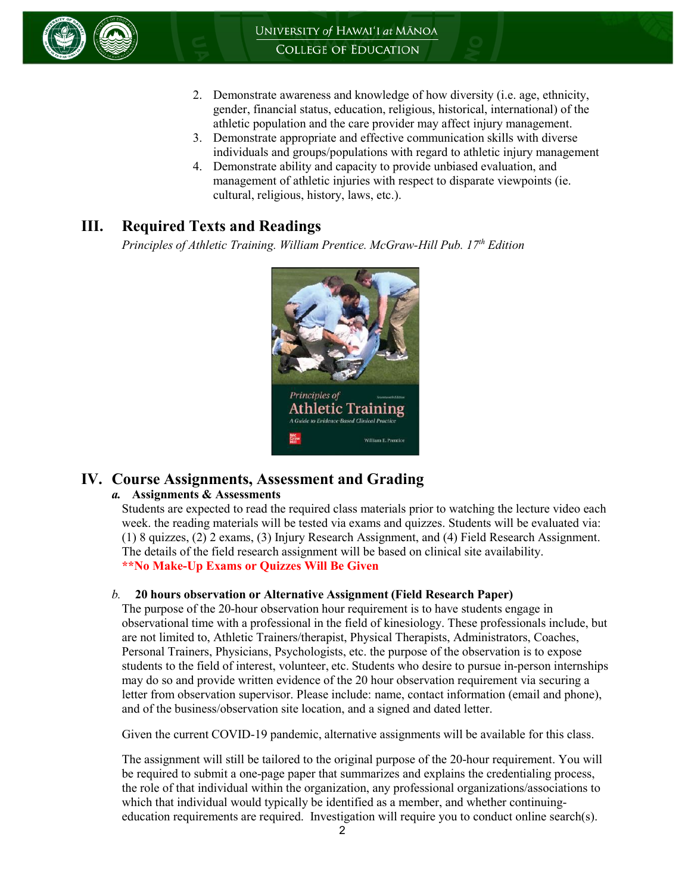

- 2. Demonstrate awareness and knowledge of how diversity (i.e. age, ethnicity, gender, financial status, education, religious, historical, international) of the athletic population and the care provider may affect injury management.
- 3. Demonstrate appropriate and effective communication skills with diverse individuals and groups/populations with regard to athletic injury management
- 4. Demonstrate ability and capacity to provide unbiased evaluation, and management of athletic injuries with respect to disparate viewpoints (ie. cultural, religious, history, laws, etc.).

# **III. Required Texts and Readings**

*Principles of Athletic Training. William Prentice. McGraw-Hill Pub. 17th Edition*



### **IV. Course Assignments, Assessment and Grading**

#### *a.* **Assignments & Assessments**

Students are expected to read the required class materials prior to watching the lecture video each week. the reading materials will be tested via exams and quizzes. Students will be evaluated via: (1) 8 quizzes, (2) 2 exams, (3) Injury Research Assignment, and (4) Field Research Assignment. The details of the field research assignment will be based on clinical site availability. **\*\*No Make-Up Exams or Quizzes Will Be Given** 

#### *b.* **20 hours observation or Alternative Assignment (Field Research Paper)**

The purpose of the 20-hour observation hour requirement is to have students engage in observational time with a professional in the field of kinesiology. These professionals include, but are not limited to, Athletic Trainers/therapist, Physical Therapists, Administrators, Coaches, Personal Trainers, Physicians, Psychologists, etc. the purpose of the observation is to expose students to the field of interest, volunteer, etc. Students who desire to pursue in-person internships may do so and provide written evidence of the 20 hour observation requirement via securing a letter from observation supervisor. Please include: name, contact information (email and phone), and of the business/observation site location, and a signed and dated letter.

Given the current COVID-19 pandemic, alternative assignments will be available for this class.

The assignment will still be tailored to the original purpose of the 20-hour requirement. You will be required to submit a one-page paper that summarizes and explains the credentialing process, the role of that individual within the organization, any professional organizations/associations to which that individual would typically be identified as a member, and whether continuingeducation requirements are required. Investigation will require you to conduct online search(s).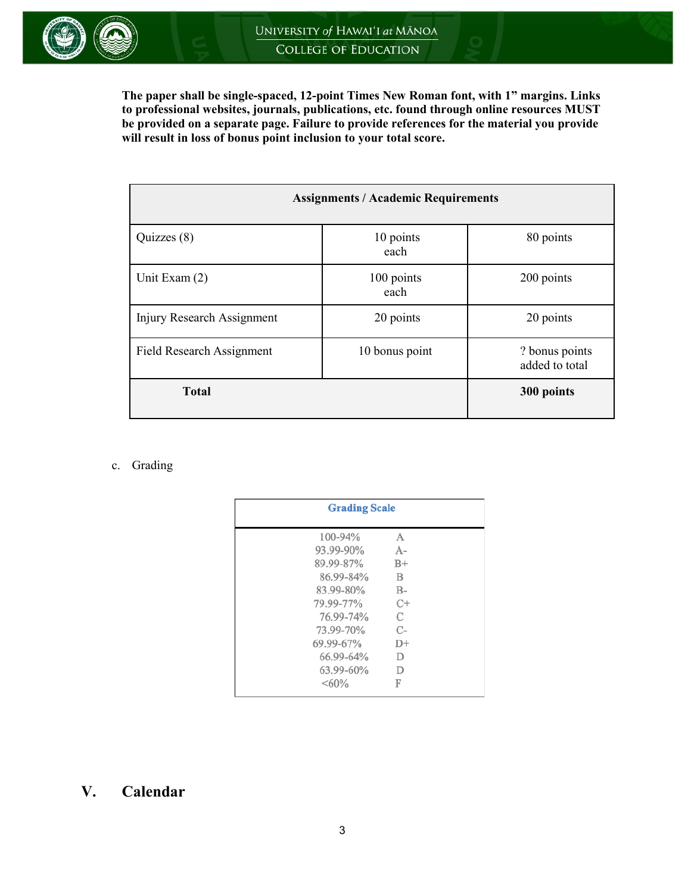**The paper shall be single-spaced, 12-point Times New Roman font, with 1" margins. Links to professional websites, journals, publications, etc. found through online resources MUST be provided on a separate page. Failure to provide references for the material you provide will result in loss of bonus point inclusion to your total score.**

| <b>Assignments / Academic Requirements</b> |                    |                                  |  |
|--------------------------------------------|--------------------|----------------------------------|--|
| Quizzes (8)                                | 10 points<br>each  | 80 points                        |  |
| Unit Exam (2)                              | 100 points<br>each | 200 points                       |  |
| Injury Research Assignment                 | 20 points          | 20 points                        |  |
| <b>Field Research Assignment</b>           | 10 bonus point     | ? bonus points<br>added to total |  |
| <b>Total</b>                               | 300 points         |                                  |  |

#### c. Grading

| <b>Grading Scale</b> |       |
|----------------------|-------|
| 100-94%              | A     |
| 93.99-90%            | $A -$ |
| 89.99-87%            | $B+$  |
| 86.99-84%            | B     |
| 83.99-80%            | $B-$  |
| 79.99-77%            | $C+$  |
| 76.99-74%            | C     |
| 73.99-70%            | $C-$  |
| 69.99-67%            | $D+$  |
| 66.99-64%            | D     |
| 63.99-60%            | D     |
| $<60\%$              | F     |

## **V. Calendar**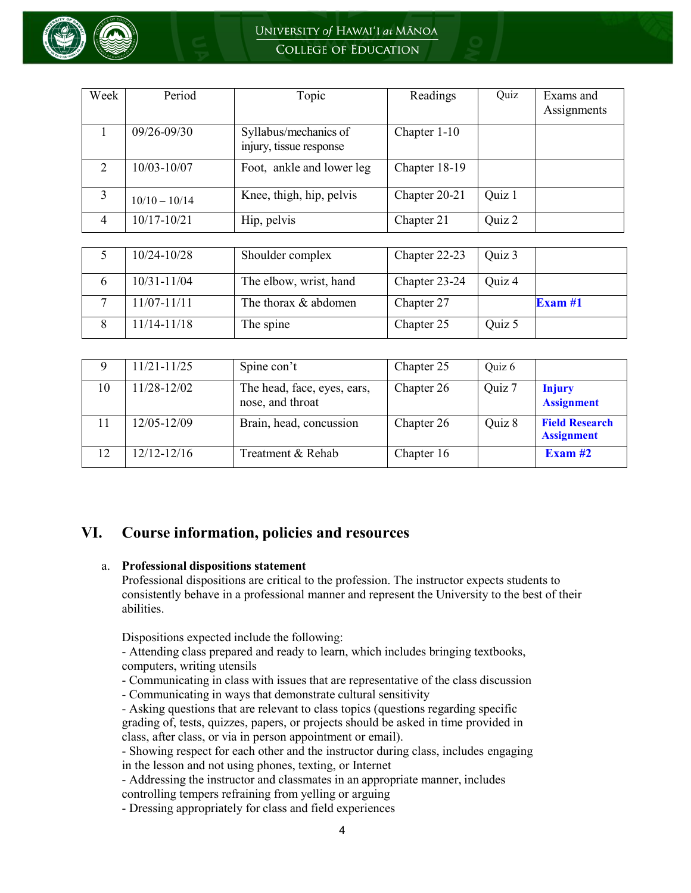

| Week           | Period          | Topic                                            | Readings      | Quiz   | Exams and<br>Assignments |
|----------------|-----------------|--------------------------------------------------|---------------|--------|--------------------------|
|                | $09/26 - 09/30$ | Syllabus/mechanics of<br>injury, tissue response | Chapter 1-10  |        |                          |
| 2              | 10/03-10/07     | Foot, ankle and lower leg                        | Chapter 18-19 |        |                          |
| 3              | $10/10 - 10/14$ | Knee, thigh, hip, pelvis                         | Chapter 20-21 | Quiz 1 |                          |
| $\overline{4}$ | 10/17-10/21     | Hip, pelvis                                      | Chapter 21    | Quiz 2 |                          |

| $10/24 - 10/28$ | Shoulder complex       | Chapter 22-23 | Quiz 3 |           |
|-----------------|------------------------|---------------|--------|-----------|
| $10/31 - 11/04$ | The elbow, wrist, hand | Chapter 23-24 | Ouiz 4 |           |
| $11/07 - 11/11$ | The thorax & abdomen   | Chapter 27    |        | Exam $#1$ |
| $11/14 - 11/18$ | The spine              | Chapter 25    | Quiz 5 |           |

| 9  | $11/21 - 11/25$ | Spine con't                                     | Chapter 25 | Quiz 6 |                                            |
|----|-----------------|-------------------------------------------------|------------|--------|--------------------------------------------|
| 10 | 11/28-12/02     | The head, face, eyes, ears,<br>nose, and throat | Chapter 26 | Quiz 7 | <b>Injury</b><br><b>Assignment</b>         |
|    | 12/05-12/09     | Brain, head, concussion                         | Chapter 26 | Quiz 8 | <b>Field Research</b><br><b>Assignment</b> |
|    | $12/12 - 12/16$ | Treatment & Rehab                               | Chapter 16 |        | Exam $#2$                                  |

### **VI. Course information, policies and resources**

#### a. **Professional dispositions statement**

Professional dispositions are critical to the profession. The instructor expects students to consistently behave in a professional manner and represent the University to the best of their abilities.

Dispositions expected include the following:

- Attending class prepared and ready to learn, which includes bringing textbooks, computers, writing utensils

- Communicating in class with issues that are representative of the class discussion
- Communicating in ways that demonstrate cultural sensitivity

- Asking questions that are relevant to class topics (questions regarding specific grading of, tests, quizzes, papers, or projects should be asked in time provided in class, after class, or via in person appointment or email).

- Showing respect for each other and the instructor during class, includes engaging in the lesson and not using phones, texting, or Internet

- Addressing the instructor and classmates in an appropriate manner, includes controlling tempers refraining from yelling or arguing

- Dressing appropriately for class and field experiences